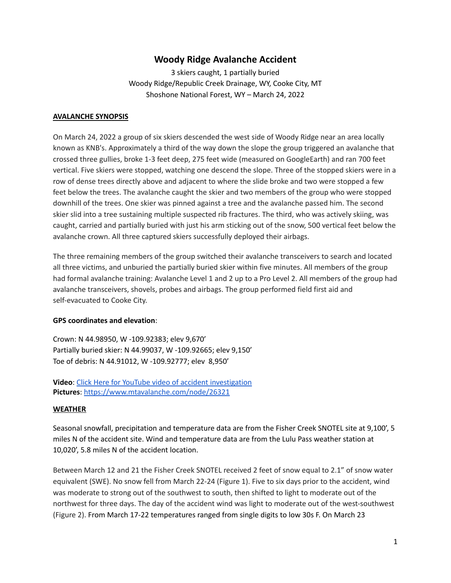# **Woody Ridge Avalanche Accident**

3 skiers caught, 1 partially buried Woody Ridge/Republic Creek Drainage, WY, Cooke City, MT Shoshone National Forest, WY – March 24, 2022

#### **AVALANCHE SYNOPSIS**

On March 24, 2022 a group of six skiers descended the west side of Woody Ridge near an area locally known as KNB's. Approximately a third of the way down the slope the group triggered an avalanche that crossed three gullies, broke 1-3 feet deep, 275 feet wide (measured on GoogleEarth) and ran 700 feet vertical. Five skiers were stopped, watching one descend the slope. Three of the stopped skiers were in a row of dense trees directly above and adjacent to where the slide broke and two were stopped a few feet below the trees. The avalanche caught the skier and two members of the group who were stopped downhill of the trees. One skier was pinned against a tree and the avalanche passed him. The second skier slid into a tree sustaining multiple suspected rib fractures. The third, who was actively skiing, was caught, carried and partially buried with just his arm sticking out of the snow, 500 vertical feet below the avalanche crown. All three captured skiers successfully deployed their airbags.

The three remaining members of the group switched their avalanche transceivers to search and located all three victims, and unburied the partially buried skier within five minutes. All members of the group had formal avalanche training: Avalanche Level 1 and 2 up to a Pro Level 2. All members of the group had avalanche transceivers, shovels, probes and airbags. The group performed field first aid and self-evacuated to Cooke City.

## **GPS coordinates and elevation**:

Crown: N 44.98950, W -109.92383; elev 9,670' Partially buried skier: N 44.99037, W -109.92665; elev 9,150' Toe of debris: N 44.91012, W -109.92777; elev 8,950'

**Video**: Click Here for YouTube video of accident [investigation](https://www.youtube.com/watch?v=WpfhtKv_4yQ&list=PLXu5151nmAvT1nrM2joYgS2bKP7SdHGkU&index=1) **Pictures**: <https://www.mtavalanche.com/node/26321>

## **WEATHER**

Seasonal snowfall, precipitation and temperature data are from the Fisher Creek SNOTEL site at 9,100', 5 miles N of the accident site. Wind and temperature data are from the Lulu Pass weather station at 10,020', 5.8 miles N of the accident location.

Between March 12 and 21 the Fisher Creek SNOTEL received 2 feet of snow equal to 2.1" of snow water equivalent (SWE). No snow fell from March 22-24 (Figure 1). Five to six days prior to the accident, wind was moderate to strong out of the southwest to south, then shifted to light to moderate out of the northwest for three days. The day of the accident wind was light to moderate out of the west-southwest (Figure 2). From March 17-22 temperatures ranged from single digits to low 30s F. On March 23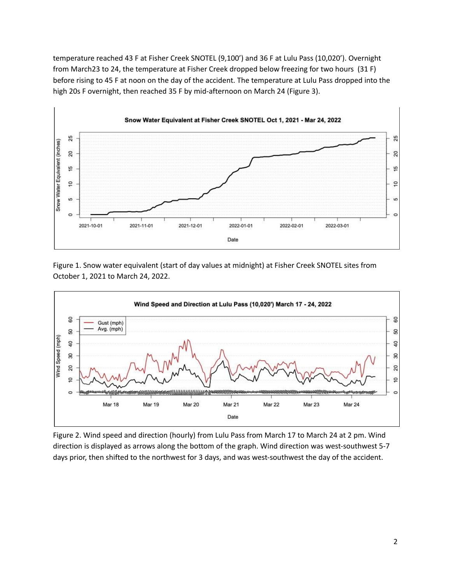temperature reached 43 F at Fisher Creek SNOTEL (9,100') and 36 F at Lulu Pass (10,020'). Overnight from March23 to 24, the temperature at Fisher Creek dropped below freezing for two hours (31 F) before rising to 45 F at noon on the day of the accident. The temperature at Lulu Pass dropped into the high 20s F overnight, then reached 35 F by mid-afternoon on March 24 (Figure 3).



Figure 1. Snow water equivalent (start of day values at midnight) at Fisher Creek SNOTEL sites from October 1, 2021 to March 24, 2022.



Figure 2. Wind speed and direction (hourly) from Lulu Pass from March 17 to March 24 at 2 pm. Wind direction is displayed as arrows along the bottom of the graph. Wind direction was west-southwest 5-7 days prior, then shifted to the northwest for 3 days, and was west-southwest the day of the accident.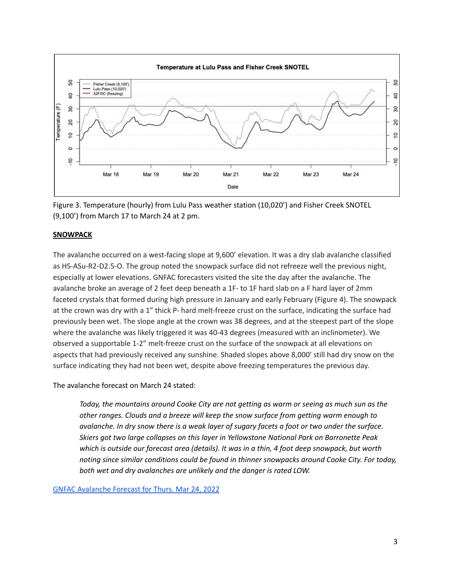



#### **SNOWPACK**

The avalanche occurred on a west-facing slope at 9,600' elevation. It was a dry slab avalanche classified as HS-ASu-R2-D2.5-O. The group noted the snowpack surface did not refreeze well the previous night, especially at lower elevations. GNFAC forecasters visited the site the day after the avalanche. The avalanche broke an average of 2 feet deep beneath a 1F- to 1F hard slab on a F hard layer of 2mm faceted crystals that formed during high pressure in January and early February (Figure 4). The snowpack at the crown was dry with a 1" thick P- hard melt-freeze crust on the surface, indicating the surface had previously been wet. The slope angle at the crown was 38 degrees, and at the steepest part of the slope where the avalanche was likely triggered it was 40-43 degrees (measured with an inclinometer). We observed a supportable 1-2" melt-freeze crust on the surface of the snowpack at all elevations on aspects that had previously received any sunshine. Shaded slopes above 8,000' still had dry snow on the surface indicating they had not been wet, despite above freezing temperatures the previous day.

The avalanche forecast on March 24 stated:

*Today, the mountains around Cooke City are not getting as warm or seeing as much sun as the other ranges. Clouds and a breeze will keep the snow surface from getting warm enough to* avalanche. In dry snow there is a weak layer of sugary facets a foot or two under the surface. *Skiers got two large collapses on this layer in Yellowstone National Park on Barronette Peak which is outside our forecast area (details). It was in a thin, 4 foot deep snowpack, but worth noting since similar conditions could be found in thinner snowpacks around Cooke City. For today, both wet and dry avalanches are unlikely and the danger is rated LOW.*

GNFAC [Avalanche](https://www.mtavalanche.com/forecast/22/03/24) Forecast for Thurs. Mar 24, 2022